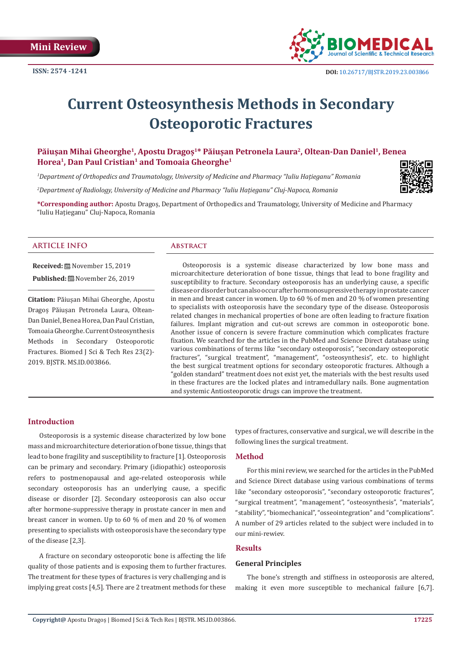

# **Current Osteosynthesis Methods in Secondary Osteoporotic Fractures**

# **Păiușan Mihai Gheorghe<sup>1</sup>, Apostu Dragoș<sup>1</sup>\* Păiușan Petronela Laura<sup>2</sup>, Oltean-Dan Daniel1, Benea Horea1, Dan Paul Cristian<sup>1</sup> and Tomoaia Gheorghe<sup>1</sup>**

*1 Department of Orthopedics and Traumatology, University of Medicine and Pharmacy "Iuliu Hațieganu" Romania*

*2 Department of Radiology, University of Medicine and Pharmacy "Iuliu Hațieganu" Cluj-Napoca, Romania*

**\*Corresponding author:** Apostu Dragoș, Department of Orthopedics and Traumatology, University of Medicine and Pharmacy "Iuliu Hațieganu" Cluj-Napoca, Romania

#### **ARTICLE INFO Abstract**

**Received:** November 15, 2019 **Published:** November 26, 2019

**Citation:** Păiușan Mihai Gheorghe, Apostu Dragoș Păiușan Petronela Laura, Oltean-Dan Daniel, Benea Horea, Dan Paul Cristian, Tomoaia Gheorghe. Current Osteosynthesis Methods in Secondary Osteoporotic Fractures. Biomed J Sci & Tech Res 23(2)- 2019. BJSTR. MS.ID.003866.

Osteoporosis is a systemic disease characterized by low bone mass and microarchitecture deterioration of bone tissue, things that lead to bone fragility and susceptibility to fracture. Secondary osteoporosis has an underlying cause, a specific disease or disorder but can also occur after hormonosupressive therapy in prostate cancer in men and breast cancer in women. Up to 60 % of men and 20 % of women presenting to specialists with osteoporosis have the secondary type of the disease. Osteoporosis related changes in mechanical properties of bone are often leading to fracture fixation failures. Implant migration and cut-out screws are common in osteoporotic bone. Another issue of concern is severe fracture comminution which complicates fracture fixation. We searched for the articles in the PubMed and Science Direct database using various combinations of terms like "secondary osteoporosis", "secondary osteoporotic fractures", "surgical treatment", "management", "osteosynthesis", etc. to highlight the best surgical treatment options for secondary osteoporotic fractures. Although a "golden standard" treatment does not exist yet, the materials with the best results used in these fractures are the locked plates and intramedullary nails. Bone augmentation and systemic Antiosteoporotic drugs can improve the treatment.

# **Introduction**

Osteoporosis is a systemic disease characterized by low bone mass and microarchitecture deterioration of bone tissue, things that lead to bone fragility and susceptibility to fracture [1]. Osteoporosis can be primary and secondary. Primary (idiopathic) osteoporosis refers to postmenopausal and age-related osteoporosis while secondary osteoporosis has an underlying cause, a specific disease or disorder [2]. Secondary osteoporosis can also occur after hormone-suppressive therapy in prostate cancer in men and breast cancer in women. Up to 60 % of men and 20 % of women presenting to specialists with osteoporosis have the secondary type of the disease [2,3].

A fracture on secondary osteoporotic bone is affecting the life quality of those patients and is exposing them to further fractures. The treatment for these types of fractures is very challenging and is implying great costs [4,5]. There are 2 treatment methods for these

types of fractures, conservative and surgical, we will describe in the following lines the surgical treatment.

## **Method**

For this mini review, we searched for the articles in the PubMed and Science Direct database using various combinations of terms like "secondary osteoporosis", "secondary osteoporotic fractures", "surgical treatment", "management", "osteosynthesis", "materials", "stability", "biomechanical", "osseointegration" and "complications". A number of 29 articles related to the subject were included in to our mini-rewiev.

### **Results**

#### **General Principles**

The bone's strength and stiffness in osteoporosis are altered, making it even more susceptible to mechanical failure [6,7].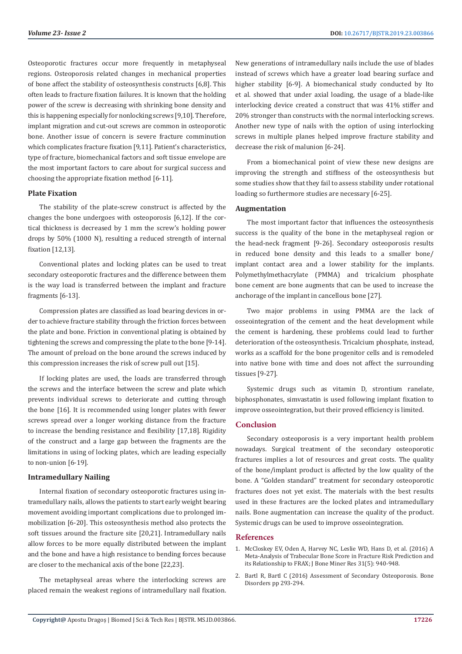Osteoporotic fractures occur more frequently in metaphyseal regions. Osteoporosis related changes in mechanical properties of bone affect the stability of osteosynthesis constructs [6,8]. This often leads to fracture fixation failures. It is known that the holding power of the screw is decreasing with shrinking bone density and this is happening especially for nonlocking screws [9,10]. Therefore, implant migration and cut-out screws are common in osteoporotic bone. Another issue of concern is severe fracture comminution which complicates fracture fixation [9,11]. Patient's characteristics, type of fracture, biomechanical factors and soft tissue envelope are the most important factors to care about for surgical success and choosing the appropriate fixation method [6-11].

#### **Plate Fixation**

The stability of the plate-screw construct is affected by the changes the bone undergoes with osteoporosis [6,12]. If the cortical thickness is decreased by 1 mm the screw's holding power drops by 50% (1000 N), resulting a reduced strength of internal fixation [12,13].

Conventional plates and locking plates can be used to treat secondary osteoporotic fractures and the difference between them is the way load is transferred between the implant and fracture fragments [6-13].

Compression plates are classified as load bearing devices in order to achieve fracture stability through the friction forces between the plate and bone. Friction in conventional plating is obtained by tightening the screws and compressing the plate to the bone [9-14]. The amount of preload on the bone around the screws induced by this compression increases the risk of screw pull out [15].

If locking plates are used, the loads are transferred through the screws and the interface between the screw and plate which prevents individual screws to deteriorate and cutting through the bone [16]. It is recommended using longer plates with fewer screws spread over a longer working distance from the fracture to increase the bending resistance and flexibility [17,18]. Rigidity of the construct and a large gap between the fragments are the limitations in using of locking plates, which are leading especially to non-union [6-19].

#### **Intramedullary Nailing**

Internal fixation of secondary osteoporotic fractures using intramedullary nails, allows the patients to start early weight bearing movement avoiding important complications due to prolonged immobilization [6-20]. This osteosynthesis method also protects the soft tissues around the fracture site [20,21]. Intramedullary nails allow forces to be more equally distributed between the implant and the bone and have a high resistance to bending forces because are closer to the mechanical axis of the bone [22,23].

The metaphyseal areas where the interlocking screws are placed remain the weakest regions of intramedullary nail fixation. New generations of intramedullary nails include the use of blades instead of screws which have a greater load bearing surface and higher stability [6-9]. A biomechanical study conducted by Ito et al. showed that under axial loading, the usage of a blade-like interlocking device created a construct that was 41% stiffer and 20% stronger than constructs with the normal interlocking screws. Another new type of nails with the option of using interlocking screws in multiple planes helped improve fracture stability and decrease the risk of malunion [6-24].

From a biomechanical point of view these new designs are improving the strength and stiffness of the osteosynthesis but some studies show that they fail to assess stability under rotational loading so furthermore studies are necessary [6-25].

#### **Augmentation**

The most important factor that influences the osteosynthesis success is the quality of the bone in the metaphyseal region or the head-neck fragment [9-26]. Secondary osteoporosis results in reduced bone density and this leads to a smaller bone/ implant contact area and a lower stability for the implants. Polymethylmethacrylate (PMMA) and tricalcium phosphate bone cement are bone augments that can be used to increase the anchorage of the implant in cancellous bone [27].

Two major problems in using PMMA are the lack of osseointegration of the cement and the heat development while the cement is hardening, these problems could lead to further deterioration of the osteosynthesis. Tricalcium phosphate, instead, works as a scaffold for the bone progenitor cells and is remodeled into native bone with time and does not affect the surrounding tissues [9-27].

Systemic drugs such as vitamin D, strontium ranelate, biphosphonates, simvastatin is used following implant fixation to improve osseointegration, but their proved efficiency is limited.

# **Conclusion**

Secondary osteoporosis is a very important health problem nowadays. Surgical treatment of the secondary osteoporotic fractures implies a lot of resources and great costs. The quality of the bone/implant product is affected by the low quality of the bone. A "Golden standard" treatment for secondary osteoporotic fractures does not yet exist. The materials with the best results used in these fractures are the locked plates and intramedullary nails. Bone augmentation can increase the quality of the product. Systemic drugs can be used to improve osseointegration.

#### **References**

- 1. [McCloskey EV, Oden A, Harvey NC, Leslie WD, Hans D, et al. \(2016\) A](https://www.ncbi.nlm.nih.gov/pubmed/26498132) [Meta-Analysis of Trabecular Bone Score in Fracture Risk Prediction and](https://www.ncbi.nlm.nih.gov/pubmed/26498132) [its Relationship to FRAX; J Bone Miner Res 31\(5\): 940-948.](https://www.ncbi.nlm.nih.gov/pubmed/26498132)
- 2. [Bartl R, Bartl C \(2016\) Assessment of Secondary Osteoporosis. Bone](https://link.springer.com/chapter/10.1007%2F978-3-319-29182-6_44) [Disorders pp 293-294.](https://link.springer.com/chapter/10.1007%2F978-3-319-29182-6_44)